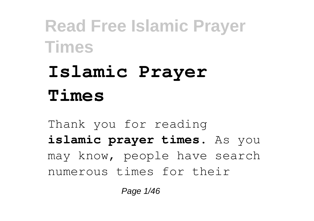# **Islamic Prayer Times**

Thank you for reading **islamic prayer times**. As you may know, people have search numerous times for their

Page 1/46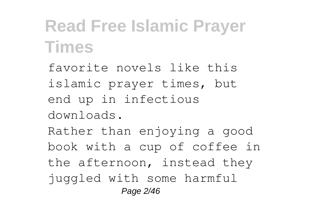favorite novels like this islamic prayer times, but end up in infectious downloads. Rather than enjoying a good book with a cup of coffee in the afternoon, instead they juggled with some harmful Page 2/46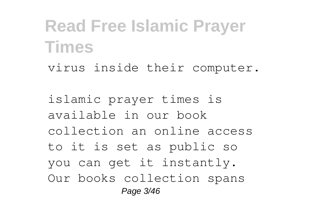virus inside their computer.

islamic prayer times is available in our book collection an online access to it is set as public so you can get it instantly. Our books collection spans Page 3/46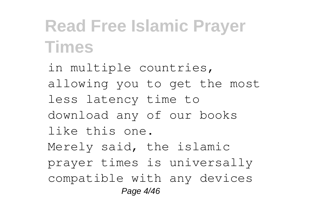in multiple countries, allowing you to get the most less latency time to download any of our books like this one. Merely said, the islamic prayer times is universally compatible with any devices Page 4/46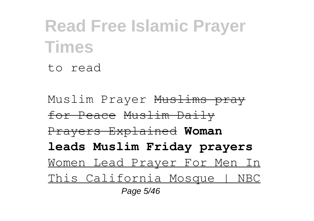to read

Muslim Prayer Muslims pray for Peace Muslim Daily Prayers Explained **Woman leads Muslim Friday prayers** Women Lead Prayer For Men In This California Mosque | NBC Page 5/46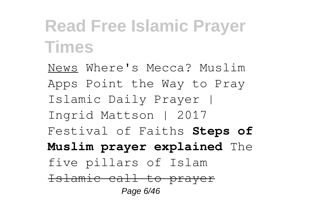News Where's Mecca? Muslim Apps Point the Way to Pray Islamic Daily Prayer | Ingrid Mattson | 2017 Festival of Faiths **Steps of Muslim prayer explained** The five pillars of Islam Islamic call to prayer Page 6/46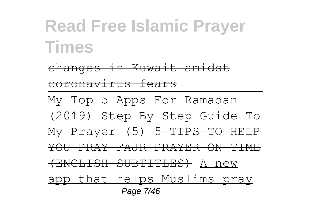changes in Kuwait amidst coronavirus fears My Top 5 Apps For Ramadan (2019) Step By Step Guide To My Prayer (5) 5 TIPS TO HELP YOU PRAY FAJR PRAYER ON TIME (ENGLISH SUBTITLES) A new app that helps Muslims pray Page 7/46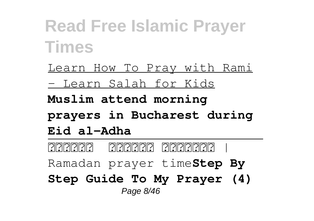Learn How To Pray with Rami – Learn Salah for Kids **Muslim attend morning prayers in Bucharest during Eid al-Adha**

|മാദ്വമിലെ | മാദ്വമാദി

Ramadan prayer time**Step By**

#### **Step Guide To My Prayer (4)** Page 8/46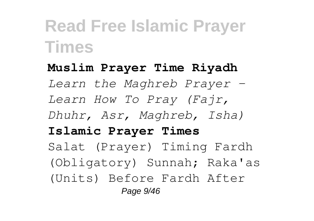**Muslim Prayer Time Riyadh** *Learn the Maghreb Prayer - Learn How To Pray (Fajr, Dhuhr, Asr, Maghreb, Isha)* **Islamic Prayer Times** Salat (Prayer) Timing Fardh (Obligatory) Sunnah; Raka'as (Units) Before Fardh After Page 9/46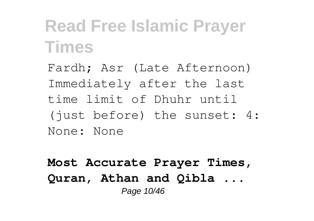Fardh; Asr (Late Afternoon) Immediately after the last time limit of Dhuhr until (just before) the sunset: 4: None: None

**Most Accurate Prayer Times, Quran, Athan and Qibla ...** Page 10/46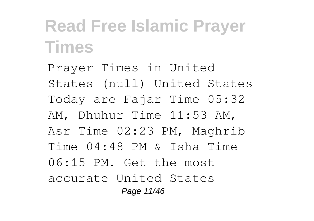Prayer Times in United States (null) United States Today are Fajar Time 05:32 AM, Dhuhur Time 11:53 AM, Asr Time 02:23 PM, Maghrib Time 04:48 PM & Isha Time 06:15 PM. Get the most accurate United States Page 11/46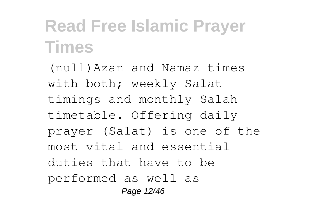(null)Azan and Namaz times with both; weekly Salat timings and monthly Salah timetable. Offering daily prayer (Salat) is one of the most vital and essential duties that have to be performed as well as Page 12/46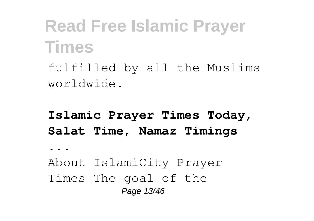fulfilled by all the Muslims worldwide.

**Islamic Prayer Times Today, Salat Time, Namaz Timings**

**...**

About IslamiCity Prayer Times The goal of the Page 13/46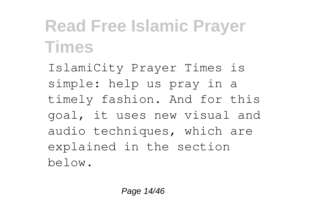IslamiCity Prayer Times is simple: help us pray in a timely fashion. And for this goal, it uses new visual and audio techniques, which are explained in the section below.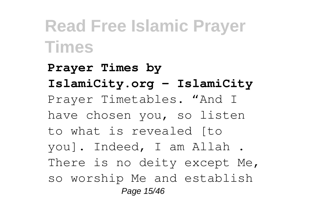**Prayer Times by IslamiCity.org - IslamiCity** Prayer Timetables. "And I have chosen you, so listen to what is revealed [to you]. Indeed, I am Allah . There is no deity except Me, so worship Me and establish Page 15/46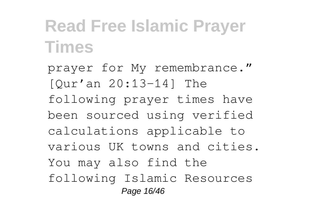prayer for My remembrance." [Qur'an 20:13-14] The following prayer times have been sourced using verified calculations applicable to various UK towns and cities. You may also find the following Islamic Resources Page 16/46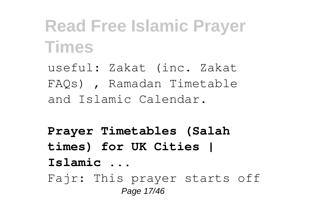useful: Zakat (inc. Zakat FAQs) , Ramadan Timetable and Islamic Calendar.

**Prayer Timetables (Salah times) for UK Cities | Islamic ...** Fajr: This prayer starts off Page 17/46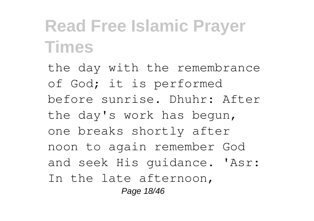the day with the remembrance of God; it is performed before sunrise. Dhuhr: After the day's work has begun, one breaks shortly after noon to again remember God and seek His guidance. 'Asr: In the late afternoon, Page 18/46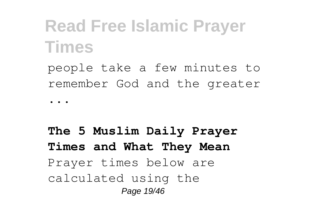people take a few minutes to remember God and the greater ...

**The 5 Muslim Daily Prayer Times and What They Mean** Prayer times below are calculated using the Page 19/46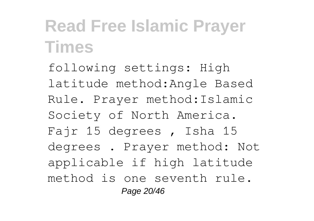following settings: High latitude method:Angle Based Rule. Prayer method:Islamic Society of North America. Fajr 15 degrees , Isha 15 degrees . Prayer method: Not applicable if high latitude method is one seventh rule. Page 20/46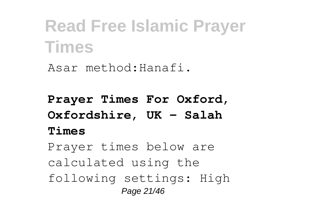Asar method:Hanafi.

**Prayer Times For Oxford, Oxfordshire, UK - Salah Times**

Prayer times below are calculated using the following settings: High Page 21/46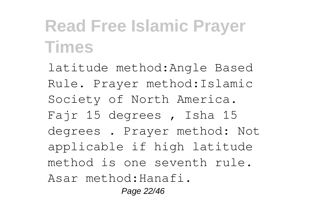latitude method:Angle Based Rule. Prayer method:Islamic Society of North America. Fajr 15 degrees , Isha 15 degrees . Prayer method: Not applicable if high latitude method is one seventh rule. Asar method:Hanafi. Page 22/46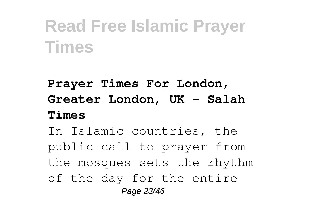**Prayer Times For London, Greater London, UK - Salah Times**

In Islamic countries, the public call to prayer from the mosques sets the rhythm of the day for the entire Page 23/46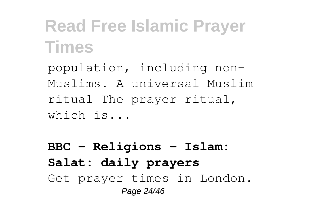population, including non-Muslims. A universal Muslim ritual The prayer ritual, which is...

**BBC - Religions - Islam: Salat: daily prayers** Get prayer times in London. Page 24/46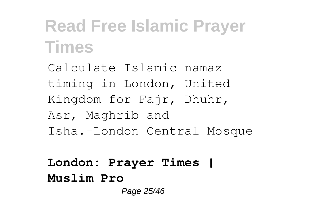Calculate Islamic namaz timing in London, United Kingdom for Fajr, Dhuhr, Asr, Maghrib and Isha.-London Central Mosque

#### **London: Prayer Times | Muslim Pro** Page 25/46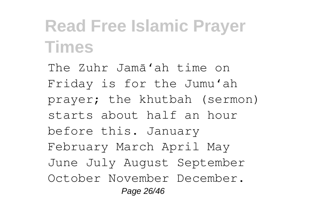The Zuhr Jamā'ah time on Friday is for the Jumu'ah prayer; the khutbah (sermon) starts about half an hour before this. January February March April May June July August September October November December. Page 26/46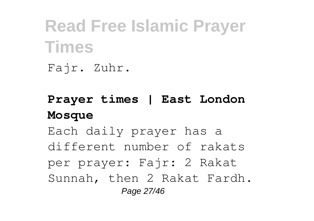Fajr. Zuhr.

**Prayer times | East London Mosque** Each daily prayer has a different number of rakats per prayer: Fajr: 2 Rakat Sunnah, then 2 Rakat Fardh. Page 27/46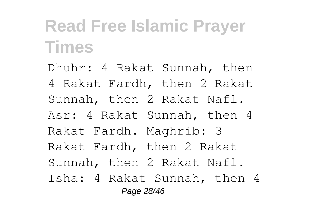Dhuhr: 4 Rakat Sunnah, then 4 Rakat Fardh, then 2 Rakat Sunnah, then 2 Rakat Nafl. Asr: 4 Rakat Sunnah, then 4 Rakat Fardh. Maghrib: 3 Rakat Fardh, then 2 Rakat Sunnah, then 2 Rakat Nafl. Isha: 4 Rakat Sunnah, then 4 Page 28/46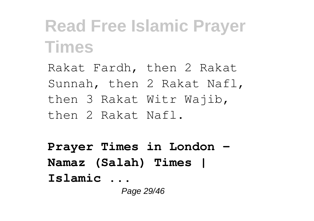Rakat Fardh, then 2 Rakat Sunnah, then 2 Rakat Nafl, then 3 Rakat Witr Wajib, then 2 Rakat Nafl.

**Prayer Times in London - Namaz (Salah) Times | Islamic ...** Page 29/46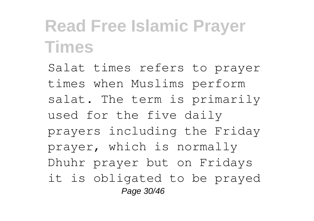Salat times refers to prayer times when Muslims perform salat. The term is primarily used for the five daily prayers including the Friday prayer, which is normally Dhuhr prayer but on Fridays it is obligated to be prayed Page 30/46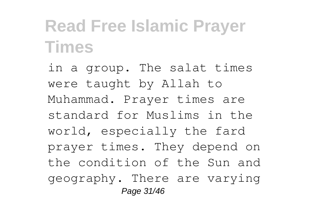in a group. The salat times were taught by Allah to Muhammad. Prayer times are standard for Muslims in the world, especially the fard prayer times. They depend on the condition of the Sun and geography. There are varying Page 31/46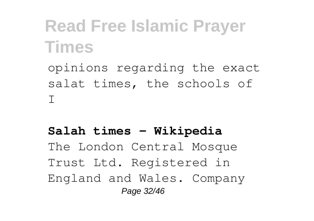opinions regarding the exact salat times, the schools of I

#### **Salah times - Wikipedia** The London Central Mosque Trust Ltd. Registered in England and Wales. Company Page 32/46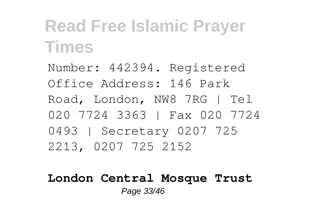Number: 442394. Registered Office Address: 146 Park Road, London, NW8 7RG | Tel 020 7724 3363 | Fax 020 7724 0493 | Secretary 0207 725 2213, 0207 725 2152

#### **London Central Mosque Trust** Page 33/46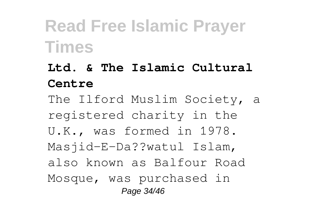- **Ltd. & The Islamic Cultural Centre**
- The Ilford Muslim Society, a registered charity in the U.K., was formed in 1978. Masjid-E-Da??watul Islam, also known as Balfour Road Mosque, was purchased in Page 34/46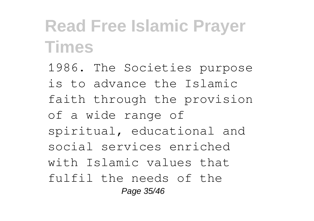1986. The Societies purpose is to advance the Islamic faith through the provision of a wide range of spiritual, educational and social services enriched with Islamic values that fulfil the needs of the Page 35/46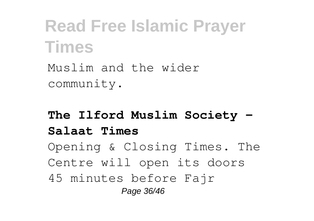Muslim and the wider community.

#### **The Ilford Muslim Society - Salaat Times** Opening & Closing Times. The Centre will open its doors 45 minutes before Fajr Page 36/46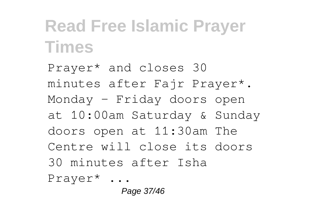Prayer\* and closes 30 minutes after Fajr Prayer\*. Monday – Friday doors open at 10:00am Saturday & Sunday doors open at 11:30am The Centre will close its doors 30 minutes after Isha Prayer\* ...

Page 37/46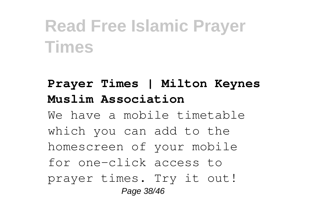#### **Prayer Times | Milton Keynes Muslim Association** We have a mobile timetable which you can add to the homescreen of your mobile for one-click access to prayer times. Try it out! Page 38/46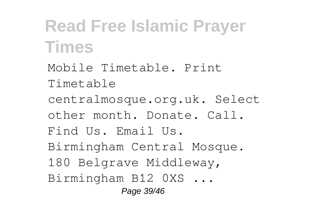Mobile Timetable. Print Timetable centralmosque.org.uk. Select other month. Donate. Call. Find Us. Email Us. Birmingham Central Mosque. 180 Belgrave Middleway, Birmingham B12 0XS ... Page 39/46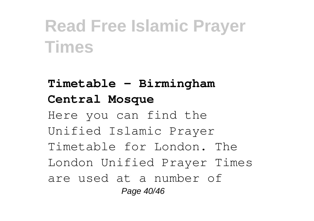**Timetable - Birmingham Central Mosque** Here you can find the Unified Islamic Prayer Timetable for London. The London Unified Prayer Times are used at a number of Page 40/46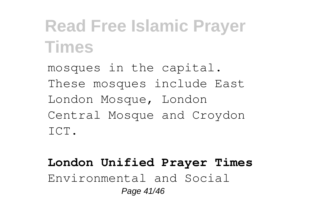mosques in the capital. These mosques include East London Mosque, London Central Mosque and Croydon ICT.

#### **London Unified Prayer Times** Environmental and Social Page 41/46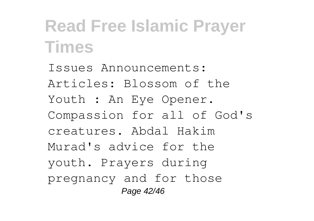Issues Announcements: Articles: Blossom of the Youth : An Eye Opener. Compassion for all of God's creatures. Abdal Hakim Murad's advice for the youth. Prayers during pregnancy and for those Page 42/46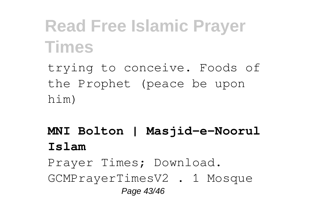trying to conceive. Foods of the Prophet (peace be upon him)

#### **MNI Bolton | Masjid-e-Noorul Islam**

Prayer Times; Download. GCMPrayerTimesV2 . 1 Mosque Page 43/46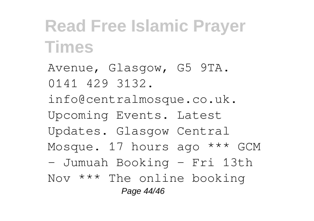Avenue, Glasgow, G5 9TA. 0141 429 3132. info@centralmosque.co.uk. Upcoming Events. Latest Updates. Glasgow Central Mosque. 17 hours ago \*\*\* GCM - Jumuah Booking - Fri 13th Nov \*\*\* The online booking Page 44/46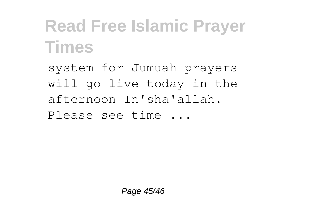system for Jumuah prayers will go live today in the afternoon In'sha'allah. Please see time ...